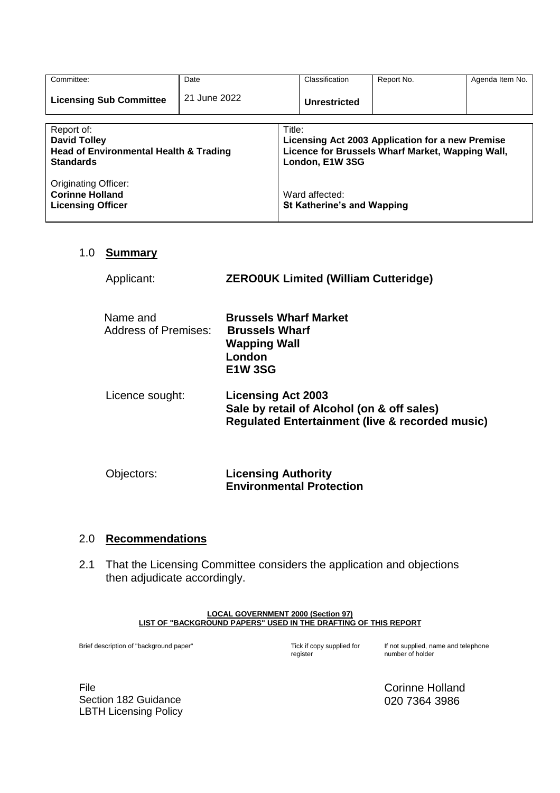| Committee:                                                                                                 | Date         |                                                                                                                                   | Classification | Report No. | Agenda Item No. |
|------------------------------------------------------------------------------------------------------------|--------------|-----------------------------------------------------------------------------------------------------------------------------------|----------------|------------|-----------------|
| <b>Licensing Sub Committee</b>                                                                             | 21 June 2022 |                                                                                                                                   | Unrestricted   |            |                 |
| Report of:<br><b>David Tolley</b><br><b>Head of Environmental Health &amp; Trading</b><br><b>Standards</b> |              | Title:<br>Licensing Act 2003 Application for a new Premise<br>Licence for Brussels Wharf Market, Wapping Wall,<br>London, E1W 3SG |                |            |                 |
| <b>Originating Officer:</b><br><b>Corinne Holland</b><br><b>Licensing Officer</b>                          |              | Ward affected:<br><b>St Katherine's and Wapping</b>                                                                               |                |            |                 |

### 1.0 **Summary**

| Applicant:                       | <b>ZEROOUK Limited (William Cutteridge)</b>                                                                                           |
|----------------------------------|---------------------------------------------------------------------------------------------------------------------------------------|
| Name and<br>Address of Premises: | <b>Brussels Wharf Market</b><br><b>Brussels Wharf</b><br><b>Wapping Wall</b><br>London<br><b>E1W3SG</b>                               |
| Licence sought:                  | <b>Licensing Act 2003</b><br>Sale by retail of Alcohol (on & off sales)<br><b>Regulated Entertainment (live &amp; recorded music)</b> |
| Objectors:                       | <b>Licensing Authority</b><br><b>Environmental Protection</b>                                                                         |

#### 2.0 **Recommendations**

2.1 That the Licensing Committee considers the application and objections then adjudicate accordingly.

#### **LOCAL GOVERNMENT 2000 (Section 97) LIST OF "BACKGROUND PAPERS" USED IN THE DRAFTING OF THIS REPORT**

Brief description of "background paper"

Tick if copy supplied for<br>register

If not supplied, name and telephone number of holder

File Section 182 Guidance LBTH Licensing Policy Corinne Holland 020 7364 3986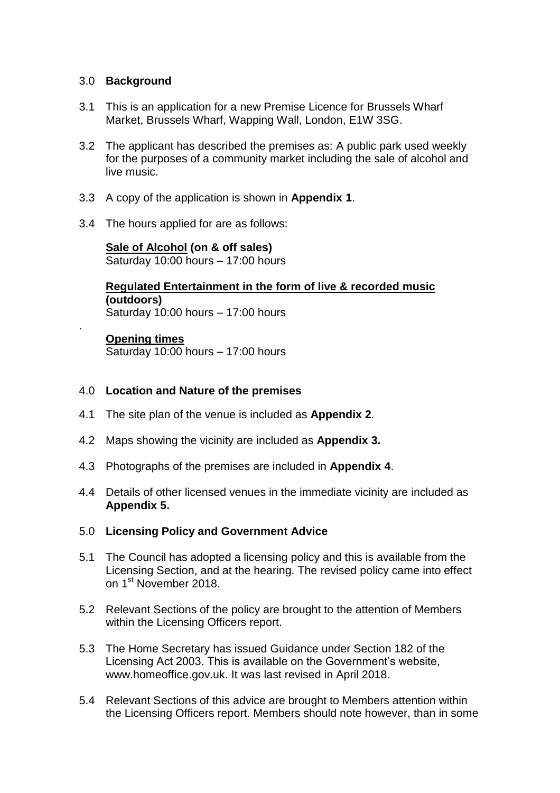### 3.0 **Background**

- 3.1 This is an application for a new Premise Licence for Brussels Wharf Market, Brussels Wharf, Wapping Wall, London, E1W 3SG.
- 3.2 The applicant has described the premises as: A public park used weekly for the purposes of a community market including the sale of alcohol and live music.
- 3.3 A copy of the application is shown in **Appendix 1**.
- 3.4 The hours applied for are as follows:

**Sale of Alcohol (on & off sales)** Saturday 10:00 hours – 17:00 hours

**Regulated Entertainment in the form of live & recorded music (outdoors)** Saturday 10:00 hours – 17:00 hours

### **Opening times**

.

Saturday 10:00 hours – 17:00 hours

### 4.0 **Location and Nature of the premises**

- 4.1 The site plan of the venue is included as **Appendix 2**.
- 4.2 Maps showing the vicinity are included as **Appendix 3.**
- 4.3 Photographs of the premises are included in **Appendix 4**.
- 4.4 Details of other licensed venues in the immediate vicinity are included as **Appendix 5.**

### 5.0 **Licensing Policy and Government Advice**

- 5.1 The Council has adopted a licensing policy and this is available from the Licensing Section, and at the hearing. The revised policy came into effect on 1<sup>st</sup> November 2018.
- 5.2 Relevant Sections of the policy are brought to the attention of Members within the Licensing Officers report.
- 5.3 The Home Secretary has issued Guidance under Section 182 of the Licensing Act 2003. This is available on the Government's website, [www.homeoffice.gov.uk.](http://www.culture.gov.uk/) It was last revised in April 2018.
- 5.4 Relevant Sections of this advice are brought to Members attention within the Licensing Officers report. Members should note however, than in some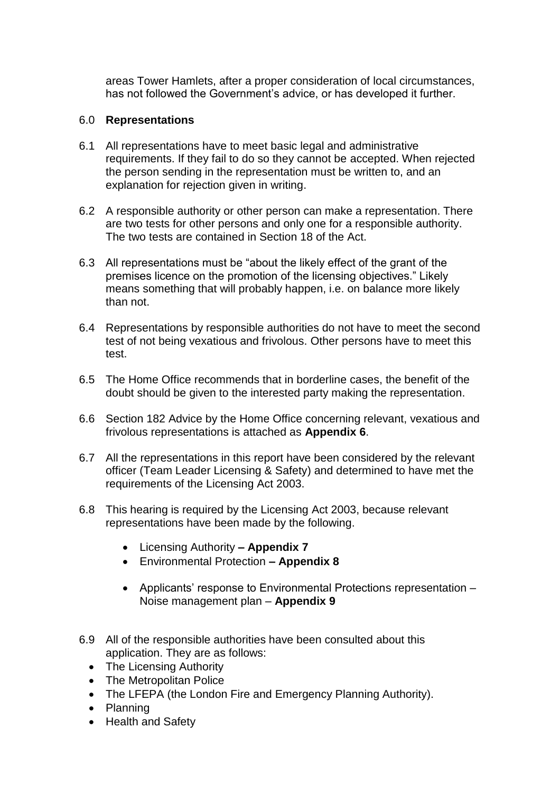areas Tower Hamlets, after a proper consideration of local circumstances, has not followed the Government's advice, or has developed it further.

#### 6.0 **Representations**

- 6.1 All representations have to meet basic legal and administrative requirements. If they fail to do so they cannot be accepted. When rejected the person sending in the representation must be written to, and an explanation for rejection given in writing.
- 6.2 A responsible authority or other person can make a representation. There are two tests for other persons and only one for a responsible authority. The two tests are contained in Section 18 of the Act.
- 6.3 All representations must be "about the likely effect of the grant of the premises licence on the promotion of the licensing objectives." Likely means something that will probably happen, i.e. on balance more likely than not.
- 6.4 Representations by responsible authorities do not have to meet the second test of not being vexatious and frivolous. Other persons have to meet this test.
- 6.5 The Home Office recommends that in borderline cases, the benefit of the doubt should be given to the interested party making the representation.
- 6.6 Section 182 Advice by the Home Office concerning relevant, vexatious and frivolous representations is attached as **Appendix 6**.
- 6.7 All the representations in this report have been considered by the relevant officer (Team Leader Licensing & Safety) and determined to have met the requirements of the Licensing Act 2003.
- 6.8 This hearing is required by the Licensing Act 2003, because relevant representations have been made by the following.
	- Licensing Authority **– Appendix 7**
	- Environmental Protection **– Appendix 8**
	- Applicants' response to Environmental Protections representation Noise management plan – **Appendix 9**
- 6.9 All of the responsible authorities have been consulted about this application. They are as follows:
	- The Licensing Authority
	- The Metropolitan Police
	- The LFEPA (the London Fire and Emergency Planning Authority).
	- Planning
	- Health and Safety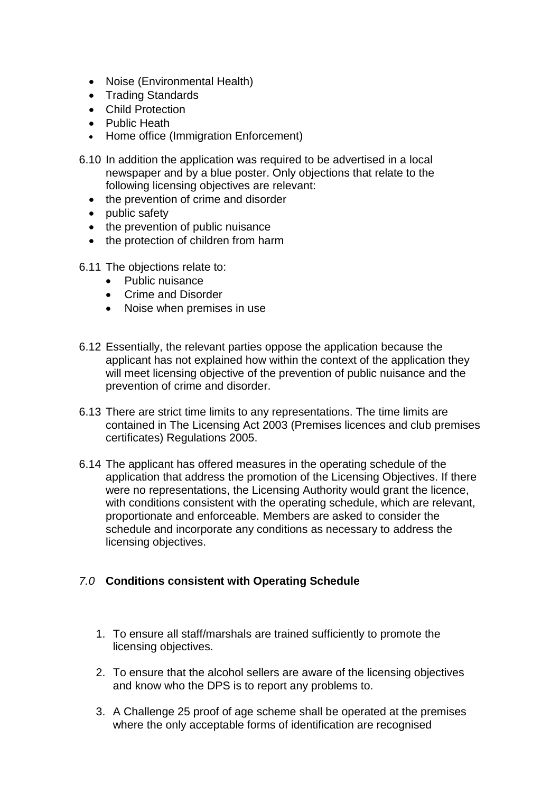- Noise (Environmental Health)
- Trading Standards
- Child Protection
- Public Heath
- Home office (Immigration Enforcement)
- 6.10 In addition the application was required to be advertised in a local newspaper and by a blue poster. Only objections that relate to the following licensing objectives are relevant:
	- the prevention of crime and disorder
	- public safety
	- the prevention of public nuisance
	- the protection of children from harm
- 6.11 The objections relate to:
	- Public nuisance
	- Crime and Disorder
	- Noise when premises in use
- 6.12 Essentially, the relevant parties oppose the application because the applicant has not explained how within the context of the application they will meet licensing objective of the prevention of public nuisance and the prevention of crime and disorder.
- 6.13 There are strict time limits to any representations. The time limits are contained in The Licensing Act 2003 (Premises licences and club premises certificates) Regulations 2005.
- 6.14 The applicant has offered measures in the operating schedule of the application that address the promotion of the Licensing Objectives. If there were no representations, the Licensing Authority would grant the licence, with conditions consistent with the operating schedule, which are relevant, proportionate and enforceable. Members are asked to consider the schedule and incorporate any conditions as necessary to address the licensing objectives.

## *7.0* **Conditions consistent with Operating Schedule**

- 1. To ensure all staff/marshals are trained sufficiently to promote the licensing objectives.
- 2. To ensure that the alcohol sellers are aware of the licensing objectives and know who the DPS is to report any problems to.
- 3. A Challenge 25 proof of age scheme shall be operated at the premises where the only acceptable forms of identification are recognised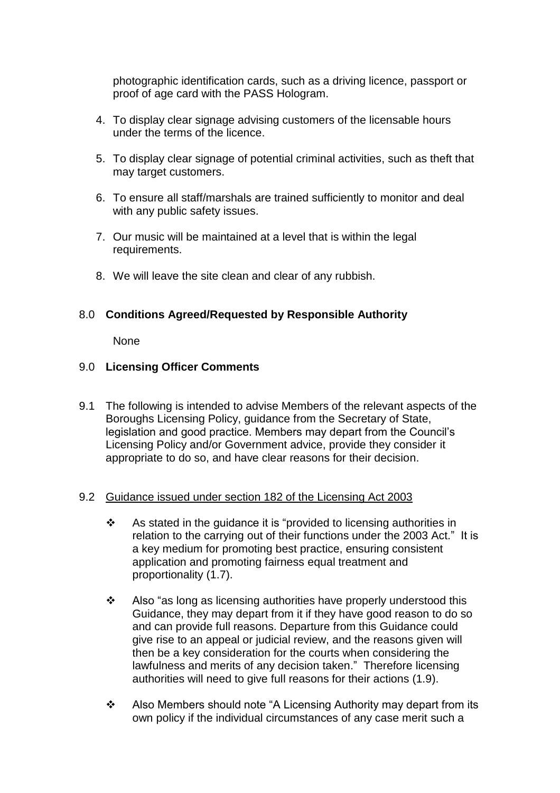photographic identification cards, such as a driving licence, passport or proof of age card with the PASS Hologram.

- 4. To display clear signage advising customers of the licensable hours under the terms of the licence.
- 5. To display clear signage of potential criminal activities, such as theft that may target customers.
- 6. To ensure all staff/marshals are trained sufficiently to monitor and deal with any public safety issues.
- 7. Our music will be maintained at a level that is within the legal requirements.
- 8. We will leave the site clean and clear of any rubbish.

### 8.0 **Conditions Agreed/Requested by Responsible Authority**

None

### 9.0 **Licensing Officer Comments**

9.1 The following is intended to advise Members of the relevant aspects of the Boroughs Licensing Policy, guidance from the Secretary of State, legislation and good practice. Members may depart from the Council's Licensing Policy and/or Government advice, provide they consider it appropriate to do so, and have clear reasons for their decision.

### 9.2 Guidance issued under section 182 of the Licensing Act 2003

- $\cdot$  As stated in the guidance it is "provided to licensing authorities in relation to the carrying out of their functions under the 2003 Act." It is a key medium for promoting best practice, ensuring consistent application and promoting fairness equal treatment and proportionality (1.7).
- $\div$  Also "as long as licensing authorities have properly understood this Guidance, they may depart from it if they have good reason to do so and can provide full reasons. Departure from this Guidance could give rise to an appeal or judicial review, and the reasons given will then be a key consideration for the courts when considering the lawfulness and merits of any decision taken." Therefore licensing authorities will need to give full reasons for their actions (1.9).
- ❖ Also Members should note "A Licensing Authority may depart from its own policy if the individual circumstances of any case merit such a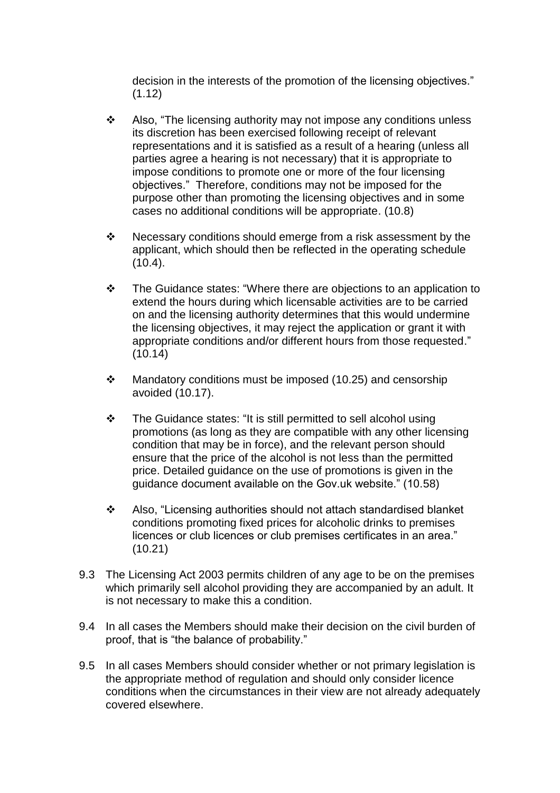decision in the interests of the promotion of the licensing objectives."  $(1.12)$ 

- $\div$  Also, "The licensing authority may not impose any conditions unless its discretion has been exercised following receipt of relevant representations and it is satisfied as a result of a hearing (unless all parties agree a hearing is not necessary) that it is appropriate to impose conditions to promote one or more of the four licensing objectives." Therefore, conditions may not be imposed for the purpose other than promoting the licensing objectives and in some cases no additional conditions will be appropriate. (10.8)
- Necessary conditions should emerge from a risk assessment by the applicant, which should then be reflected in the operating schedule  $(10.4).$
- The Guidance states: "Where there are objections to an application to extend the hours during which licensable activities are to be carried on and the licensing authority determines that this would undermine the licensing objectives, it may reject the application or grant it with appropriate conditions and/or different hours from those requested." (10.14)
- $\div$  Mandatory conditions must be imposed (10.25) and censorship avoided (10.17).
- The Guidance states: "It is still permitted to sell alcohol using promotions (as long as they are compatible with any other licensing condition that may be in force), and the relevant person should ensure that the price of the alcohol is not less than the permitted price. Detailed guidance on the use of promotions is given in the guidance document available on the Gov.uk website." (10.58)
- Also, "Licensing authorities should not attach standardised blanket conditions promoting fixed prices for alcoholic drinks to premises licences or club licences or club premises certificates in an area." (10.21)
- 9.3 The Licensing Act 2003 permits children of any age to be on the premises which primarily sell alcohol providing they are accompanied by an adult. It is not necessary to make this a condition.
- 9.4 In all cases the Members should make their decision on the civil burden of proof, that is "the balance of probability."
- 9.5 In all cases Members should consider whether or not primary legislation is the appropriate method of regulation and should only consider licence conditions when the circumstances in their view are not already adequately covered elsewhere.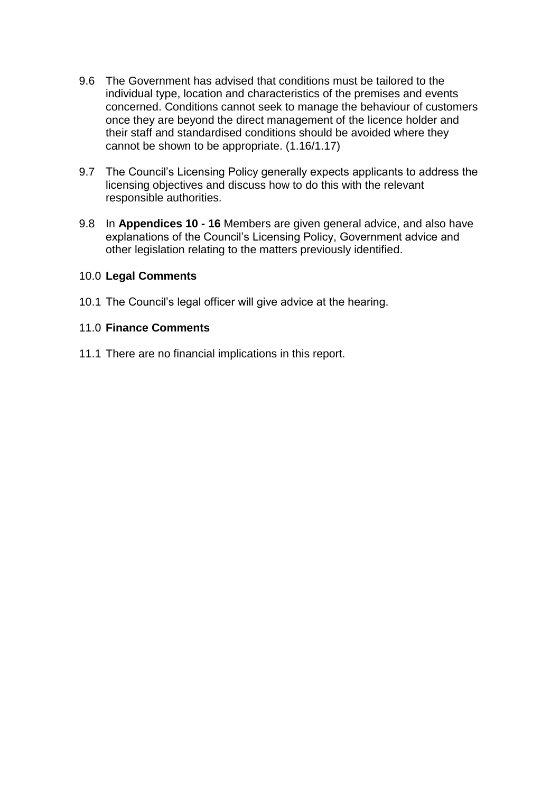- 9.6 The Government has advised that conditions must be tailored to the individual type, location and characteristics of the premises and events concerned. Conditions cannot seek to manage the behaviour of customers once they are beyond the direct management of the licence holder and their staff and standardised conditions should be avoided where they cannot be shown to be appropriate. (1.16/1.17)
- 9.7 The Council's Licensing Policy generally expects applicants to address the licensing objectives and discuss how to do this with the relevant responsible authorities.
- 9.8 In **Appendices 10 - 16** Members are given general advice, and also have explanations of the Council's Licensing Policy, Government advice and other legislation relating to the matters previously identified.

### 10.0 **Legal Comments**

10.1 The Council's legal officer will give advice at the hearing.

### 11.0 **Finance Comments**

11.1 There are no financial implications in this report.